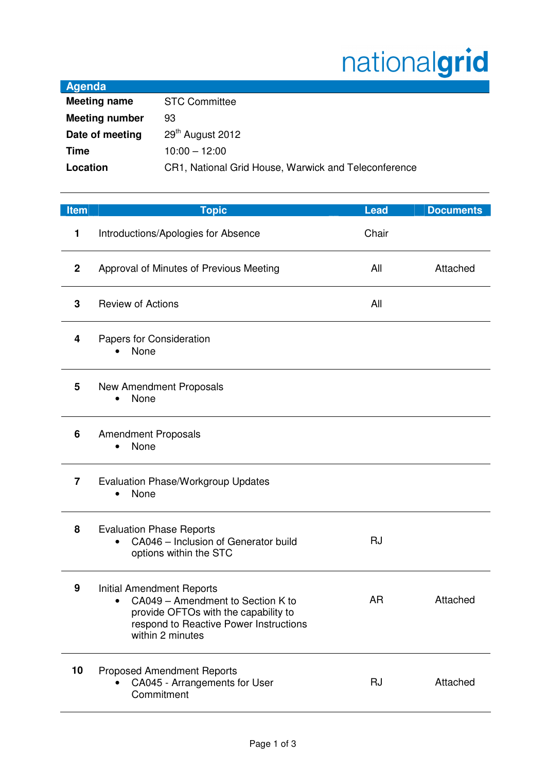## nationalgrid

| Agenda                |                                                      |
|-----------------------|------------------------------------------------------|
| <b>Meeting name</b>   | <b>STC Committee</b>                                 |
| <b>Meeting number</b> | 93                                                   |
| Date of meeting       | 29 <sup>th</sup> August 2012                         |
| Time                  | $10:00 - 12:00$                                      |
| Location              | CR1, National Grid House, Warwick and Teleconference |
|                       |                                                      |

| <b>Item</b>  | <b>Topic</b>                                                                                                                                                                | <b>Lead</b> | <b>Documents</b> |
|--------------|-----------------------------------------------------------------------------------------------------------------------------------------------------------------------------|-------------|------------------|
| 1            | Introductions/Apologies for Absence                                                                                                                                         | Chair       |                  |
| $\mathbf{2}$ | Approval of Minutes of Previous Meeting                                                                                                                                     | All         | Attached         |
| 3            | <b>Review of Actions</b>                                                                                                                                                    | All         |                  |
| 4            | Papers for Consideration<br>None                                                                                                                                            |             |                  |
| 5            | New Amendment Proposals<br>None<br>$\bullet$                                                                                                                                |             |                  |
| 6            | <b>Amendment Proposals</b><br>None                                                                                                                                          |             |                  |
| 7            | <b>Evaluation Phase/Workgroup Updates</b><br>None<br>$\bullet$                                                                                                              |             |                  |
| 8            | <b>Evaluation Phase Reports</b><br>CA046 - Inclusion of Generator build<br>$\bullet$<br>options within the STC                                                              | <b>RJ</b>   |                  |
| 9            | <b>Initial Amendment Reports</b><br>CA049 - Amendment to Section K to<br>provide OFTOs with the capability to<br>respond to Reactive Power Instructions<br>within 2 minutes | <b>AR</b>   | Attached         |
| 10           | <b>Proposed Amendment Reports</b><br>CA045 - Arrangements for User<br>Commitment                                                                                            | <b>RJ</b>   | Attached         |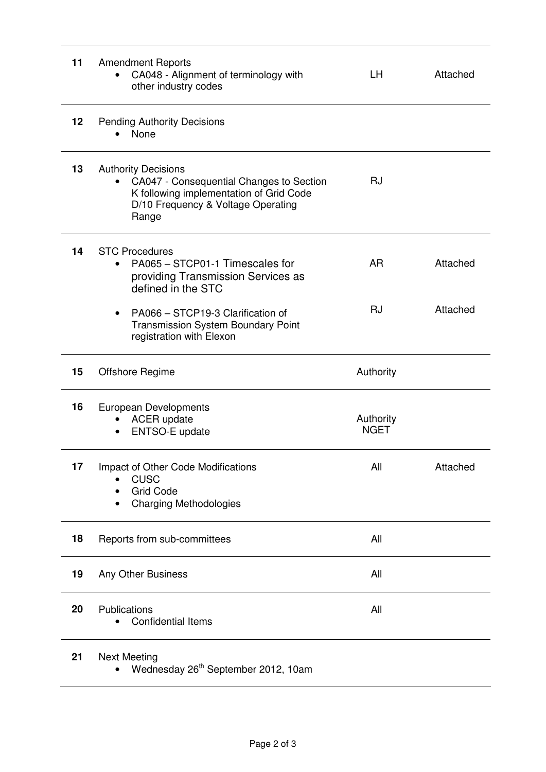| 11 | <b>Amendment Reports</b><br>CA048 - Alignment of terminology with<br>other industry codes                                                                        | LН                       | Attached |
|----|------------------------------------------------------------------------------------------------------------------------------------------------------------------|--------------------------|----------|
| 12 | <b>Pending Authority Decisions</b><br>None                                                                                                                       |                          |          |
| 13 | <b>Authority Decisions</b><br>CA047 - Consequential Changes to Section<br>K following implementation of Grid Code<br>D/10 Frequency & Voltage Operating<br>Range | <b>RJ</b>                |          |
| 14 | <b>STC Procedures</b><br>PA065 - STCP01-1 Timescales for<br>providing Transmission Services as<br>defined in the STC                                             | <b>AR</b>                | Attached |
|    | PA066 - STCP19-3 Clarification of<br><b>Transmission System Boundary Point</b><br>registration with Elexon                                                       | <b>RJ</b>                | Attached |
| 15 | Offshore Regime                                                                                                                                                  | Authority                |          |
| 16 | <b>European Developments</b><br><b>ACER</b> update<br>ENTSO-E update                                                                                             | Authority<br><b>NGET</b> |          |
| 17 |                                                                                                                                                                  |                          |          |
|    | Impact of Other Code Modifications<br><b>CUSC</b><br><b>Grid Code</b><br><b>Charging Methodologies</b>                                                           | All                      | Attached |
| 18 | Reports from sub-committees                                                                                                                                      | All                      |          |
| 19 | Any Other Business                                                                                                                                               | All                      |          |
| 20 | Publications<br><b>Confidential Items</b><br>٠                                                                                                                   | All                      |          |